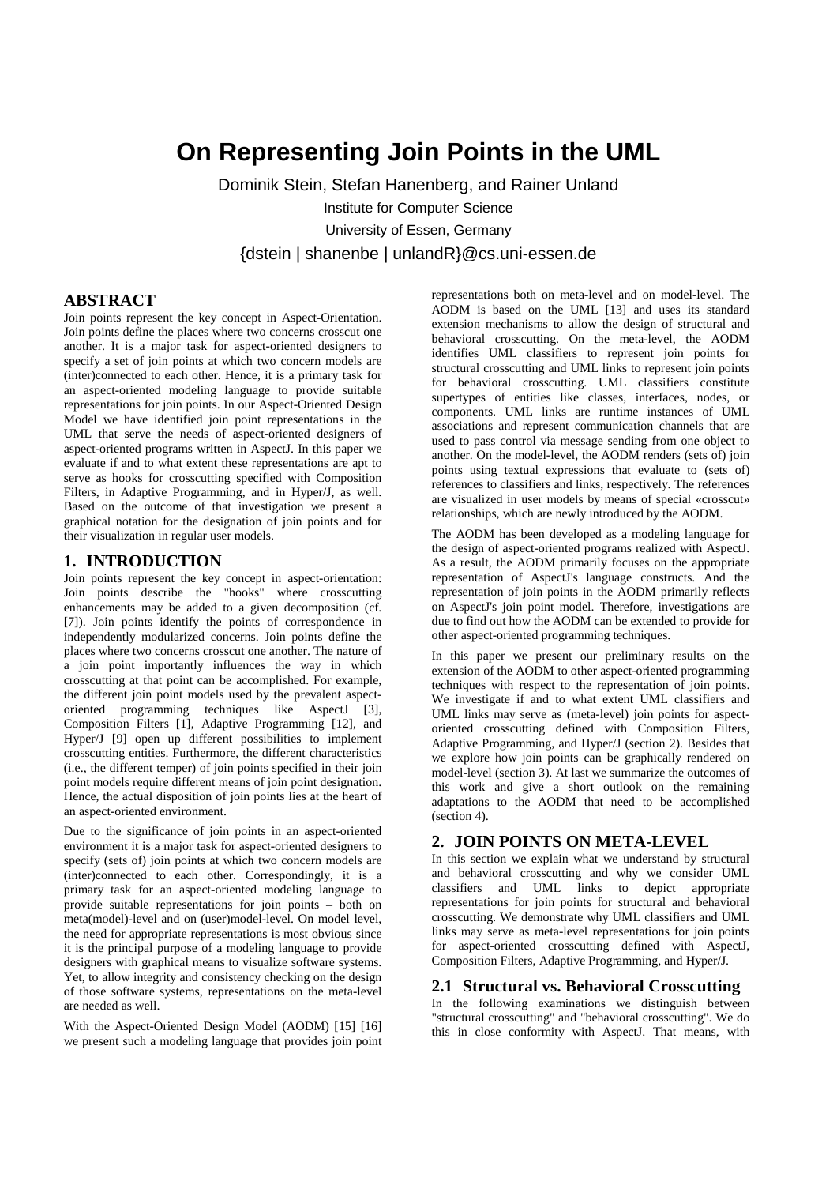# **On Representing Join Points in the UML**

Dominik Stein, Stefan Hanenberg, and Rainer Unland Institute for Computer Science University of Essen, Germany {dstein | shanenbe | unlandR}@cs.uni-essen.de

## **ABSTRACT**

Join points represent the key concept in Aspect-Orientation. Join points define the places where two concerns crosscut one another. It is a major task for aspect-oriented designers to specify a set of join points at which two concern models are (inter)connected to each other. Hence, it is a primary task for an aspect-oriented modeling language to provide suitable representations for join points. In our Aspect-Oriented Design Model we have identified join point representations in the UML that serve the needs of aspect-oriented designers of aspect-oriented programs written in AspectJ. In this paper we evaluate if and to what extent these representations are apt to serve as hooks for crosscutting specified with Composition Filters, in Adaptive Programming, and in Hyper/J, as well. Based on the outcome of that investigation we present a graphical notation for the designation of join points and for their visualization in regular user models.

### **1. INTRODUCTION**

Join points represent the key concept in aspect-orientation: Join points describe the "hooks" where crosscutting enhancements may be added to a given decomposition (cf. [7]). Join points identify the points of correspondence in independently modularized concerns. Join points define the places where two concerns crosscut one another. The nature of a join point importantly influences the way in which crosscutting at that point can be accomplished. For example, the different join point models used by the prevalent aspectoriented programming techniques like AspectJ [3], Composition Filters [1], Adaptive Programming [12], and Hyper/J [9] open up different possibilities to implement crosscutting entities. Furthermore, the different characteristics (i.e., the different temper) of join points specified in their join point models require different means of join point designation. Hence, the actual disposition of join points lies at the heart of an aspect-oriented environment.

Due to the significance of join points in an aspect-oriented environment it is a major task for aspect-oriented designers to specify (sets of) join points at which two concern models are (inter)connected to each other. Correspondingly, it is a primary task for an aspect-oriented modeling language to provide suitable representations for join points – both on meta(model)-level and on (user)model-level. On model level, the need for appropriate representations is most obvious since it is the principal purpose of a modeling language to provide designers with graphical means to visualize software systems. Yet, to allow integrity and consistency checking on the design of those software systems, representations on the meta-level are needed as well.

With the Aspect-Oriented Design Model (AODM) [15] [16] we present such a modeling language that provides join point

representations both on meta-level and on model-level. The AODM is based on the UML [13] and uses its standard extension mechanisms to allow the design of structural and behavioral crosscutting. On the meta-level, the AODM identifies UML classifiers to represent join points for structural crosscutting and UML links to represent join points for behavioral crosscutting. UML classifiers constitute supertypes of entities like classes, interfaces, nodes, or components. UML links are runtime instances of UML associations and represent communication channels that are used to pass control via message sending from one object to another. On the model-level, the AODM renders (sets of) join points using textual expressions that evaluate to (sets of) references to classifiers and links, respectively. The references are visualized in user models by means of special «crosscut» relationships, which are newly introduced by the AODM.

The AODM has been developed as a modeling language for the design of aspect-oriented programs realized with AspectJ. As a result, the AODM primarily focuses on the appropriate representation of AspectJ's language constructs. And the representation of join points in the AODM primarily reflects on AspectJ's join point model. Therefore, investigations are due to find out how the AODM can be extended to provide for other aspect-oriented programming techniques.

In this paper we present our preliminary results on the extension of the AODM to other aspect-oriented programming techniques with respect to the representation of join points. We investigate if and to what extent UML classifiers and UML links may serve as (meta-level) join points for aspectoriented crosscutting defined with Composition Filters, Adaptive Programming, and Hyper/J (section 2). Besides that we explore how join points can be graphically rendered on model-level (section 3). At last we summarize the outcomes of this work and give a short outlook on the remaining adaptations to the AODM that need to be accomplished (section 4).

#### **2. JOIN POINTS ON META-LEVEL**

In this section we explain what we understand by structural and behavioral crosscutting and why we consider UML classifiers and UML links to depict appropriate representations for join points for structural and behavioral crosscutting. We demonstrate why UML classifiers and UML links may serve as meta-level representations for join points for aspect-oriented crosscutting defined with AspectJ, Composition Filters, Adaptive Programming, and Hyper/J.

#### **2.1 Structural vs. Behavioral Crosscutting**

In the following examinations we distinguish between "structural crosscutting" and "behavioral crosscutting". We do this in close conformity with AspectJ. That means, with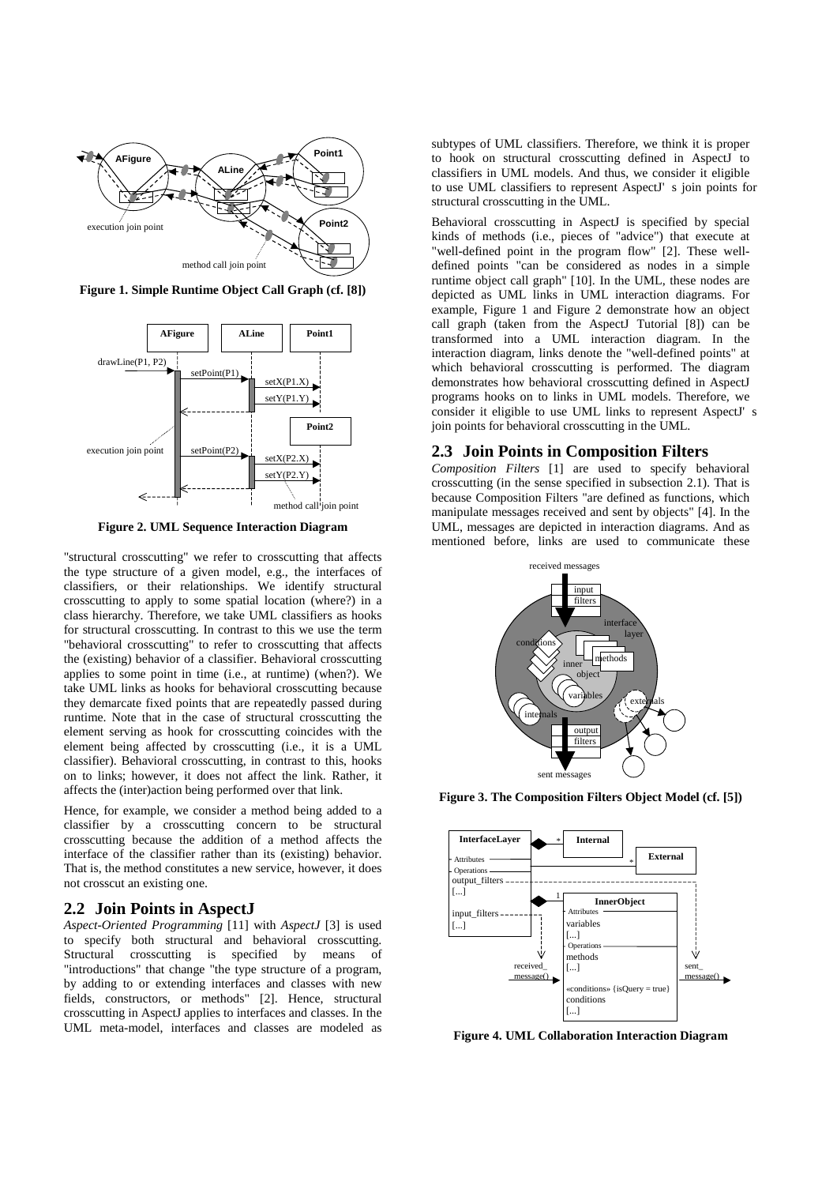

**Figure 1. Simple Runtime Object Call Graph (cf. [8])**



**Figure 2. UML Sequence Interaction Diagram**

"structural crosscutting" we refer to crosscutting that affects the type structure of a given model, e.g., the interfaces of classifiers, or their relationships. We identify structural crosscutting to apply to some spatial location (where?) in a class hierarchy. Therefore, we take UML classifiers as hooks for structural crosscutting. In contrast to this we use the term "behavioral crosscutting" to refer to crosscutting that affects the (existing) behavior of a classifier. Behavioral crosscutting applies to some point in time (i.e., at runtime) (when?). We take UML links as hooks for behavioral crosscutting because they demarcate fixed points that are repeatedly passed during runtime. Note that in the case of structural crosscutting the element serving as hook for crosscutting coincides with the element being affected by crosscutting (i.e., it is a UML classifier). Behavioral crosscutting, in contrast to this, hooks on to links; however, it does not affect the link. Rather, it affects the (inter)action being performed over that link.

Hence, for example, we consider a method being added to a classifier by a crosscutting concern to be structural crosscutting because the addition of a method affects the interface of the classifier rather than its (existing) behavior. That is, the method constitutes a new service, however, it does not crosscut an existing one.

#### **2.2 Join Points in AspectJ**

*Aspect-Oriented Programming* [11] with *AspectJ* [3] is used to specify both structural and behavioral crosscutting. Structural crosscutting is specified by means of "introductions" that change "the type structure of a program, by adding to or extending interfaces and classes with new fields, constructors, or methods" [2]. Hence, structural crosscutting in AspectJ applies to interfaces and classes. In the UML meta-model, interfaces and classes are modeled as

subtypes of UML classifiers. Therefore, we think it is proper to hook on structural crosscutting defined in AspectJ to classifiers in UML models. And thus, we consider it eligible to use UML classifiers to represent AspectJ' s join points for structural crosscutting in the UML.

Behavioral crosscutting in AspectJ is specified by special kinds of methods (i.e., pieces of "advice") that execute at "well-defined point in the program flow" [2]. These welldefined points "can be considered as nodes in a simple runtime object call graph" [10]. In the UML, these nodes are depicted as UML links in UML interaction diagrams. For example, Figure 1 and Figure 2 demonstrate how an object call graph (taken from the AspectJ Tutorial [8]) can be transformed into a UML interaction diagram. In the interaction diagram, links denote the "well-defined points" at which behavioral crosscutting is performed. The diagram demonstrates how behavioral crosscutting defined in AspectJ programs hooks on to links in UML models. Therefore, we consider it eligible to use UML links to represent AspectJ' s join points for behavioral crosscutting in the UML.

#### **2.3 Join Points in Composition Filters**

*Composition Filters* [1] are used to specify behavioral crosscutting (in the sense specified in subsection 2.1). That is because Composition Filters "are defined as functions, which manipulate messages received and sent by objects" [4]. In the UML, messages are depicted in interaction diagrams. And as mentioned before, links are used to communicate these



**Figure 3. The Composition Filters Object Model (cf. [5])**



**Figure 4. UML Collaboration Interaction Diagram**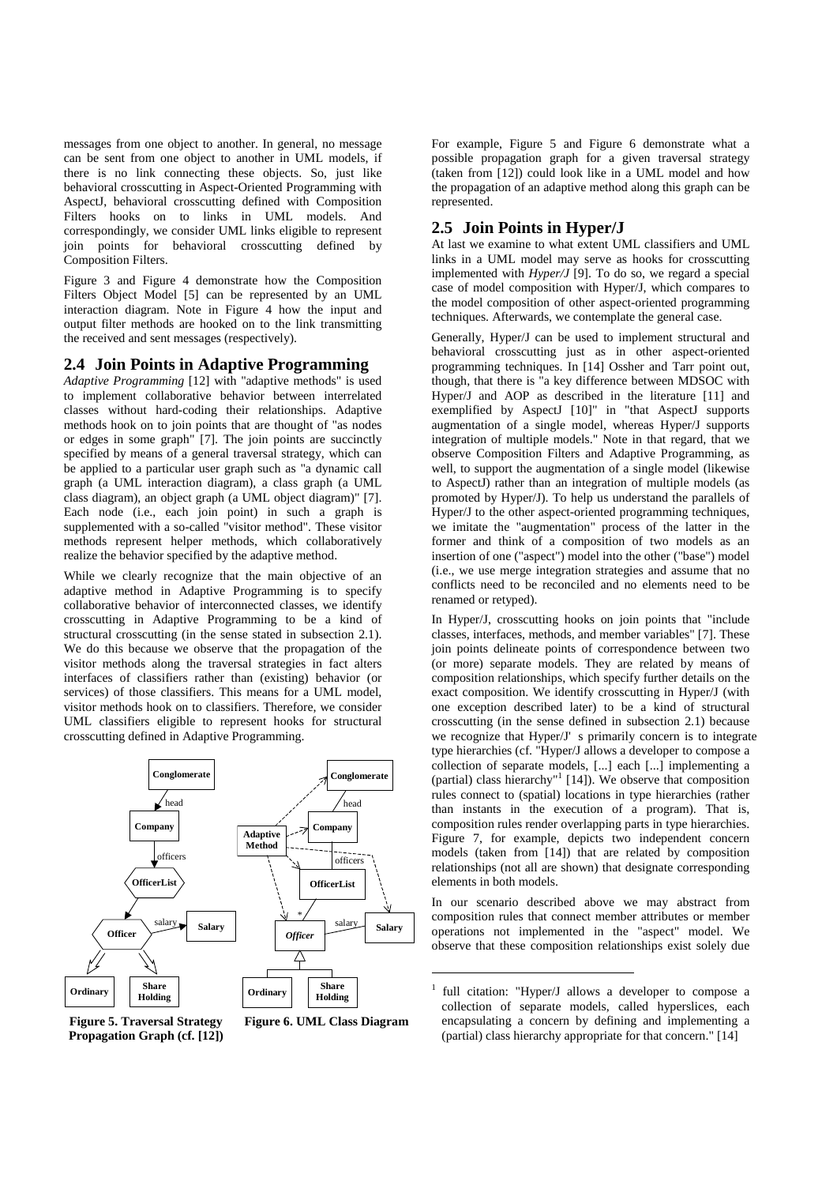messages from one object to another. In general, no message can be sent from one object to another in UML models, if there is no link connecting these objects. So, just like behavioral crosscutting in Aspect-Oriented Programming with AspectJ, behavioral crosscutting defined with Composition Filters hooks on to links in UML models. And correspondingly, we consider UML links eligible to represent join points for behavioral crosscutting defined by Composition Filters.

Figure 3 and Figure 4 demonstrate how the Composition Filters Object Model [5] can be represented by an UML interaction diagram. Note in Figure 4 how the input and output filter methods are hooked on to the link transmitting the received and sent messages (respectively).

#### **2.4 Join Points in Adaptive Programming**

*Adaptive Programming* [12] with "adaptive methods" is used to implement collaborative behavior between interrelated classes without hard-coding their relationships. Adaptive methods hook on to join points that are thought of "as nodes or edges in some graph" [7]. The join points are succinctly specified by means of a general traversal strategy, which can be applied to a particular user graph such as "a dynamic call graph (a UML interaction diagram), a class graph (a UML class diagram), an object graph (a UML object diagram)" [7]. Each node (i.e., each join point) in such a graph is supplemented with a so-called "visitor method". These visitor methods represent helper methods, which collaboratively realize the behavior specified by the adaptive method.

While we clearly recognize that the main objective of an adaptive method in Adaptive Programming is to specify collaborative behavior of interconnected classes, we identify crosscutting in Adaptive Programming to be a kind of structural crosscutting (in the sense stated in subsection 2.1). We do this because we observe that the propagation of the visitor methods along the traversal strategies in fact alters interfaces of classifiers rather than (existing) behavior (or services) of those classifiers. This means for a UML model, visitor methods hook on to classifiers. Therefore, we consider UML classifiers eligible to represent hooks for structural crosscutting defined in Adaptive Programming.



**Figure 5. Traversal Strategy Propagation Graph (cf. [12])** **Figure 6. UML Class Diagram**

j

For example, Figure 5 and Figure 6 demonstrate what a possible propagation graph for a given traversal strategy (taken from [12]) could look like in a UML model and how the propagation of an adaptive method along this graph can be represented.

#### **2.5 Join Points in Hyper/J**

At last we examine to what extent UML classifiers and UML links in a UML model may serve as hooks for crosscutting implemented with *Hyper/J* [9]. To do so, we regard a special case of model composition with Hyper/J, which compares to the model composition of other aspect-oriented programming techniques. Afterwards, we contemplate the general case.

Generally, Hyper/J can be used to implement structural and behavioral crosscutting just as in other aspect-oriented programming techniques. In [14] Ossher and Tarr point out, though, that there is "a key difference between MDSOC with Hyper/J and AOP as described in the literature [11] and exemplified by AspectJ [10]" in "that AspectJ supports augmentation of a single model, whereas Hyper/J supports integration of multiple models." Note in that regard, that we observe Composition Filters and Adaptive Programming, as well, to support the augmentation of a single model (likewise to AspectJ) rather than an integration of multiple models (as promoted by Hyper/J). To help us understand the parallels of Hyper/J to the other aspect-oriented programming techniques, we imitate the "augmentation" process of the latter in the former and think of a composition of two models as an insertion of one ("aspect") model into the other ("base") model (i.e., we use merge integration strategies and assume that no conflicts need to be reconciled and no elements need to be renamed or retyped).

In Hyper/J, crosscutting hooks on join points that "include classes, interfaces, methods, and member variables" [7]. These join points delineate points of correspondence between two (or more) separate models. They are related by means of composition relationships, which specify further details on the exact composition. We identify crosscutting in Hyper/J (with one exception described later) to be a kind of structural crosscutting (in the sense defined in subsection 2.1) because we recognize that Hyper/J' s primarily concern is to integrate type hierarchies (cf. "Hyper/J allows a developer to compose a collection of separate models, [...] each [...] implementing a (partial) class hierarchy" 1 [14]). We observe that composition rules connect to (spatial) locations in type hierarchies (rather than instants in the execution of a program). That is, composition rules render overlapping parts in type hierarchies. Figure 7, for example, depicts two independent concern models (taken from [14]) that are related by composition relationships (not all are shown) that designate corresponding elements in both models.

In our scenario described above we may abstract from composition rules that connect member attributes or member operations not implemented in the "aspect" model. We observe that these composition relationships exist solely due

<sup>1</sup> full citation: "Hyper/J allows a developer to compose a collection of separate models, called hyperslices, each encapsulating a concern by defining and implementing a (partial) class hierarchy appropriate for that concern." [14]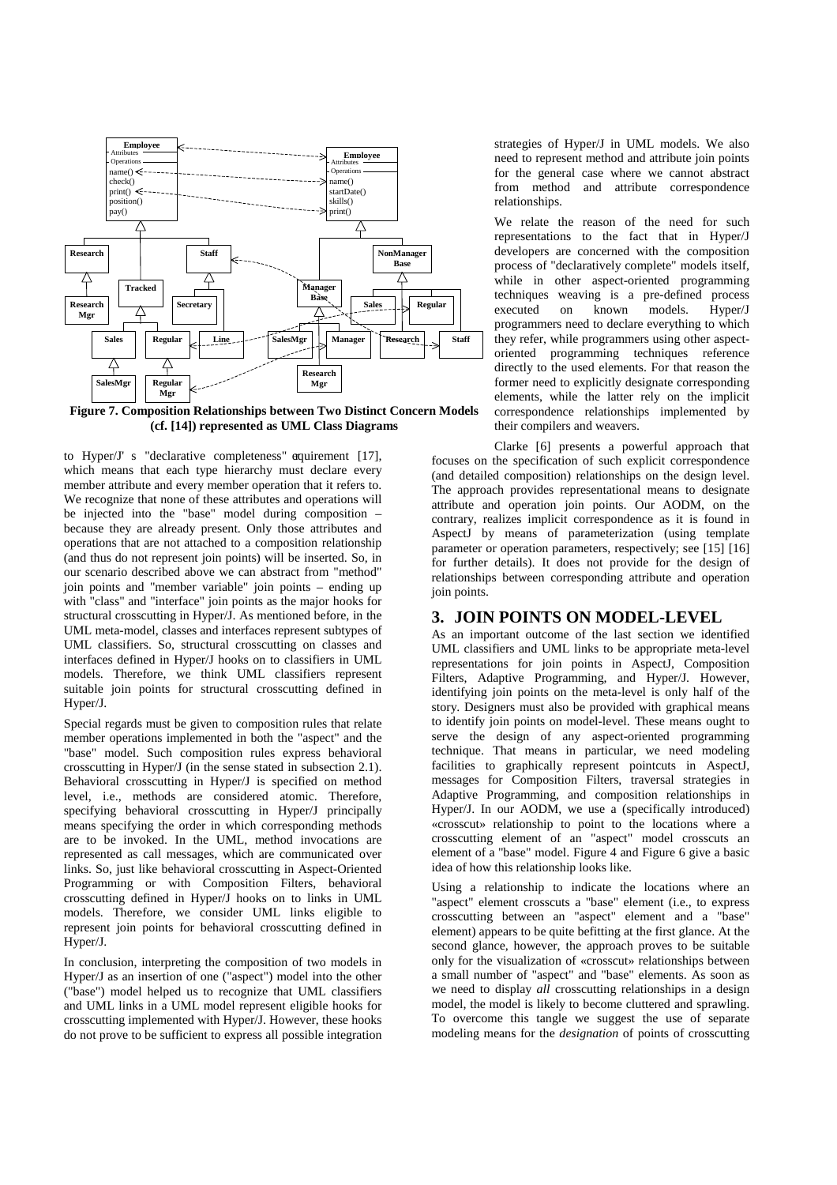

**Figure 7. Composition Relationships between Two Distinct Concern Models (cf. [14]) represented as UML Class Diagrams**

to Hyper/J' s "declarative completeness" equirement  $[17]$ , which means that each type hierarchy must declare every member attribute and every member operation that it refers to. We recognize that none of these attributes and operations will be injected into the "base" model during composition – because they are already present. Only those attributes and operations that are not attached to a composition relationship (and thus do not represent join points) will be inserted. So, in our scenario described above we can abstract from "method" join points and "member variable" join points – ending up with "class" and "interface" join points as the major hooks for structural crosscutting in Hyper/J. As mentioned before, in the UML meta-model, classes and interfaces represent subtypes of UML classifiers. So, structural crosscutting on classes and interfaces defined in Hyper/J hooks on to classifiers in UML models. Therefore, we think UML classifiers represent suitable join points for structural crosscutting defined in Hyper/J.

Special regards must be given to composition rules that relate member operations implemented in both the "aspect" and the "base" model. Such composition rules express behavioral crosscutting in Hyper/J (in the sense stated in subsection 2.1). Behavioral crosscutting in Hyper/J is specified on method level, i.e., methods are considered atomic. Therefore, specifying behavioral crosscutting in Hyper/J principally means specifying the order in which corresponding methods are to be invoked. In the UML, method invocations are represented as call messages, which are communicated over links. So, just like behavioral crosscutting in Aspect-Oriented Programming or with Composition Filters, behavioral crosscutting defined in Hyper/J hooks on to links in UML models. Therefore, we consider UML links eligible to represent join points for behavioral crosscutting defined in Hyper/J.

In conclusion, interpreting the composition of two models in Hyper/J as an insertion of one ("aspect") model into the other ("base") model helped us to recognize that UML classifiers and UML links in a UML model represent eligible hooks for crosscutting implemented with Hyper/J. However, these hooks do not prove to be sufficient to express all possible integration

strategies of Hyper/J in UML models. We also need to represent method and attribute join points for the general case where we cannot abstract from method and attribute correspondence relationships.

We relate the reason of the need for such representations to the fact that in Hyper/J developers are concerned with the composition process of "declaratively complete" models itself, while in other aspect-oriented programming techniques weaving is a pre-defined process<br>executed on known models. Hyper/J executed on known models. Hyper/J programmers need to declare everything to which they refer, while programmers using other aspectoriented programming techniques reference directly to the used elements. For that reason the former need to explicitly designate corresponding elements, while the latter rely on the implicit correspondence relationships implemented by their compilers and weavers.

Clarke [6] presents a powerful approach that focuses on the specification of such explicit correspondence (and detailed composition) relationships on the design level. The approach provides representational means to designate attribute and operation join points. Our AODM, on the contrary, realizes implicit correspondence as it is found in AspectJ by means of parameterization (using template parameter or operation parameters, respectively; see [15] [16] for further details). It does not provide for the design of relationships between corresponding attribute and operation join points.

#### **3. JOIN POINTS ON MODEL-LEVEL**

As an important outcome of the last section we identified UML classifiers and UML links to be appropriate meta-level representations for join points in AspectJ, Composition Filters, Adaptive Programming, and Hyper/J. However, identifying join points on the meta-level is only half of the story. Designers must also be provided with graphical means to identify join points on model-level. These means ought to serve the design of any aspect-oriented programming technique. That means in particular, we need modeling facilities to graphically represent pointcuts in AspectJ, messages for Composition Filters, traversal strategies in Adaptive Programming, and composition relationships in Hyper/J. In our AODM, we use a (specifically introduced) «crosscut» relationship to point to the locations where a crosscutting element of an "aspect" model crosscuts an element of a "base" model. Figure 4 and Figure 6 give a basic idea of how this relationship looks like.

Using a relationship to indicate the locations where an "aspect" element crosscuts a "base" element (i.e., to express crosscutting between an "aspect" element and a "base" element) appears to be quite befitting at the first glance. At the second glance, however, the approach proves to be suitable only for the visualization of «crosscut» relationships between a small number of "aspect" and "base" elements. As soon as we need to display *all* crosscutting relationships in a design model, the model is likely to become cluttered and sprawling. To overcome this tangle we suggest the use of separate modeling means for the *designation* of points of crosscutting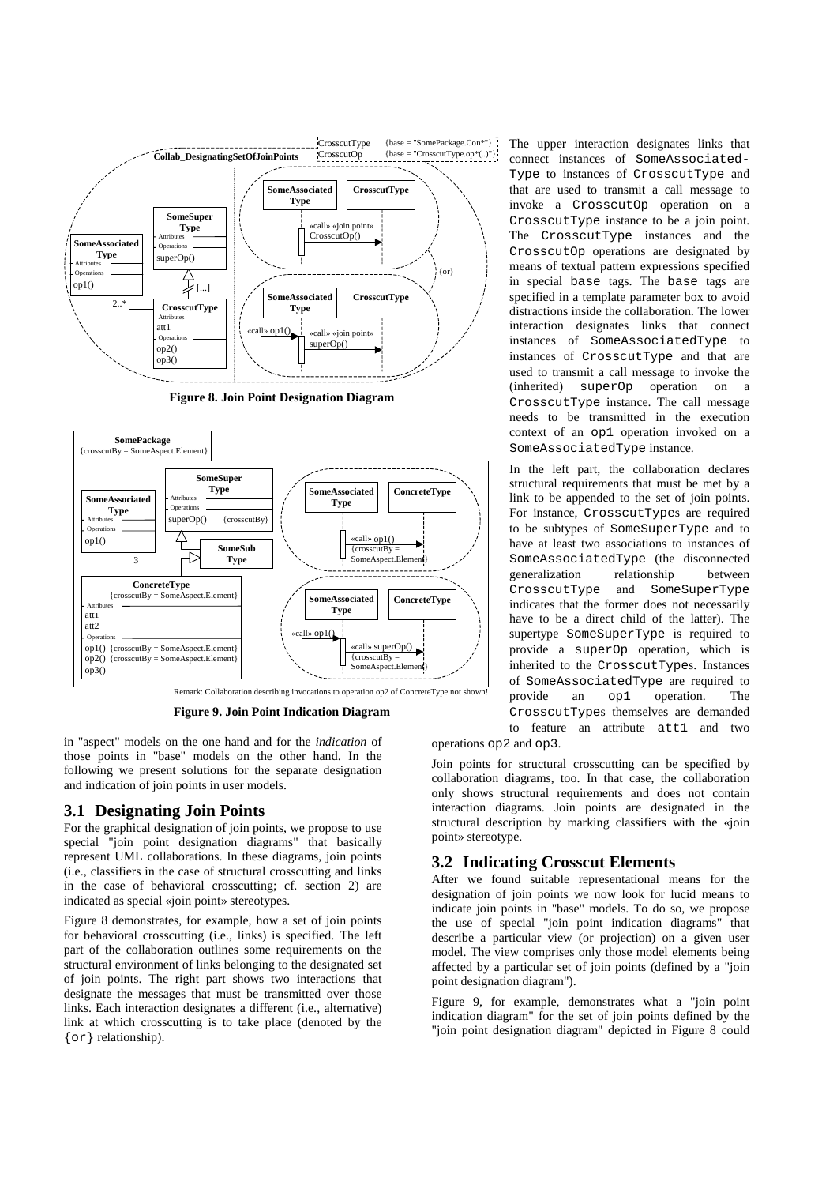

**Figure 8. Join Point Designation Diagram**



**Figure 9. Join Point Indication Diagram**

in "aspect" models on the one hand and for the *indication* of those points in "base" models on the other hand. In the following we present solutions for the separate designation and indication of join points in user models.

#### **3.1 Designating Join Points**

For the graphical designation of join points, we propose to use special "join point designation diagrams" that basically represent UML collaborations. In these diagrams, join points (i.e., classifiers in the case of structural crosscutting and links in the case of behavioral crosscutting; cf. section 2) are indicated as special «join point» stereotypes.

Figure 8 demonstrates, for example, how a set of join points for behavioral crosscutting (i.e., links) is specified. The left part of the collaboration outlines some requirements on the structural environment of links belonging to the designated set of join points. The right part shows two interactions that designate the messages that must be transmitted over those links. Each interaction designates a different (i.e., alternative) link at which crosscutting is to take place (denoted by the {or} relationship).

The upper interaction designates links that connect instances of SomeAssociated-Type to instances of CrosscutType and that are used to transmit a call message to invoke a CrosscutOp operation on a CrosscutType instance to be a join point. The CrosscutType instances and the CrosscutOp operations are designated by means of textual pattern expressions specified in special base tags. The base tags are specified in a template parameter box to avoid distractions inside the collaboration. The lower interaction designates links that connect instances of SomeAssociatedType to instances of CrosscutType and that are used to transmit a call message to invoke the (inherited) superOp operation on a CrosscutType instance. The call message needs to be transmitted in the execution context of an op1 operation invoked on a SomeAssociatedType instance.

In the left part, the collaboration declares structural requirements that must be met by a link to be appended to the set of join points. For instance, CrosscutTypes are required to be subtypes of SomeSuperType and to have at least two associations to instances of SomeAssociatedType (the disconnected generalization relationship between CrosscutType and SomeSuperType indicates that the former does not necessarily have to be a direct child of the latter). The supertype SomeSuperType is required to provide a superOp operation, which is inherited to the CrosscutTypes. Instances of SomeAssociatedType are required to provide an op1 operation. The CrosscutTypes themselves are demanded to feature an attribute att1 and two

operations op2 and op3.

Join points for structural crosscutting can be specified by collaboration diagrams, too. In that case, the collaboration only shows structural requirements and does not contain interaction diagrams. Join points are designated in the structural description by marking classifiers with the «join point» stereotype.

#### **3.2 Indicating Crosscut Elements**

After we found suitable representational means for the designation of join points we now look for lucid means to indicate join points in "base" models. To do so, we propose the use of special "join point indication diagrams" that describe a particular view (or projection) on a given user model. The view comprises only those model elements being affected by a particular set of join points (defined by a "join point designation diagram").

Figure 9, for example, demonstrates what a "join point indication diagram" for the set of join points defined by the "join point designation diagram" depicted in Figure 8 could